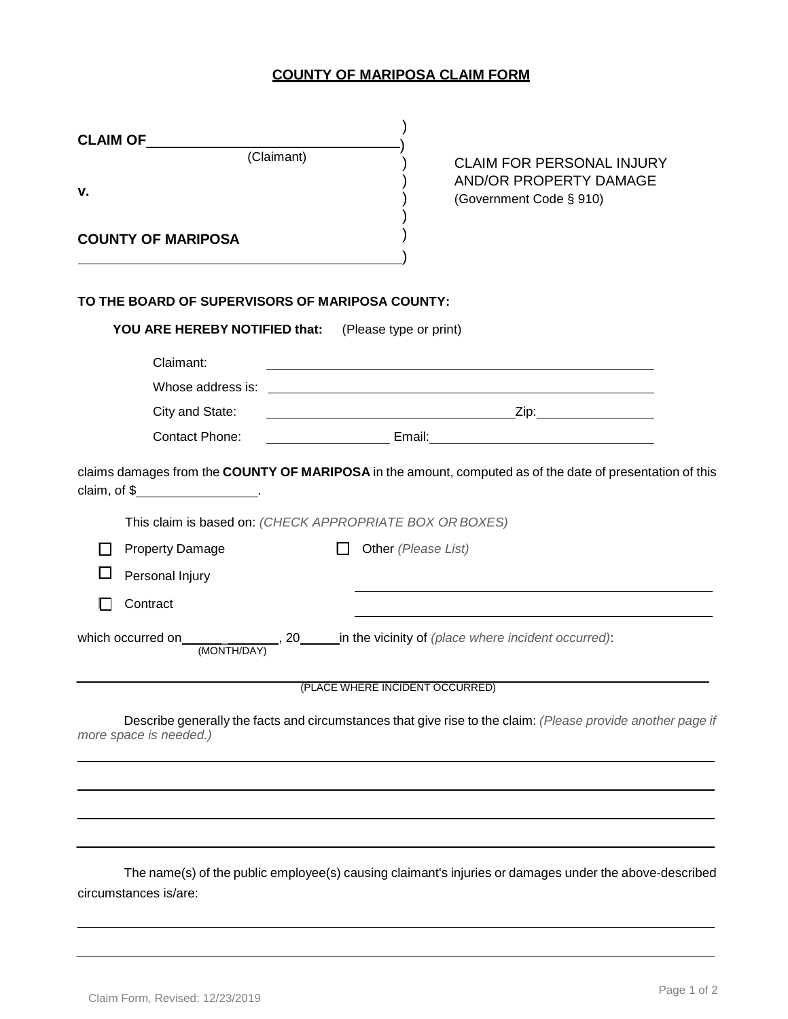## **COUNTY OF MARIPOSA CLAIM FORM**

| <b>CLAIM OF</b>                                      |                                                                                                                                                                                                                                |  |  |  |  |
|------------------------------------------------------|--------------------------------------------------------------------------------------------------------------------------------------------------------------------------------------------------------------------------------|--|--|--|--|
| (Claimant)<br>v.                                     | <b>CLAIM FOR PERSONAL INJURY</b><br><b>AND/OR PROPERTY DAMAGE</b><br>(Government Code § 910)                                                                                                                                   |  |  |  |  |
| <b>COUNTY OF MARIPOSA</b>                            |                                                                                                                                                                                                                                |  |  |  |  |
| TO THE BOARD OF SUPERVISORS OF MARIPOSA COUNTY:      |                                                                                                                                                                                                                                |  |  |  |  |
| YOU ARE HEREBY NOTIFIED that: (Please type or print) |                                                                                                                                                                                                                                |  |  |  |  |
| Claimant:                                            |                                                                                                                                                                                                                                |  |  |  |  |
| City and State:                                      |                                                                                                                                                                                                                                |  |  |  |  |
| Contact Phone:                                       |                                                                                                                                                                                                                                |  |  |  |  |
| claim, of $\frac{1}{2}$ .                            | claims damages from the COUNTY OF MARIPOSA in the amount, computed as of the date of presentation of this                                                                                                                      |  |  |  |  |
|                                                      | This claim is based on: (CHECK APPROPRIATE BOX OR BOXES)                                                                                                                                                                       |  |  |  |  |
| <b>Property Damage</b>                               | Other (Please List)                                                                                                                                                                                                            |  |  |  |  |
| Personal Injury                                      |                                                                                                                                                                                                                                |  |  |  |  |
| Contract                                             |                                                                                                                                                                                                                                |  |  |  |  |
| which occurred on<br>(MONTH/DAY)                     | 1. All 20 1. All 20 1. All 20 1. All 20 1. All 20 1. All 20 1. All 20 1. All 20 1. All 20 2. All 20 2. All 20 2 2. All 2. All 2. All 2. All 2. All 2. All 2. All 2. All 2. All 2. All 2. All 2. All 2. All 2. All 2. All 2. Al |  |  |  |  |
|                                                      | (PLACE WHERE INCIDENT OCCURRED)                                                                                                                                                                                                |  |  |  |  |
| more space is needed.)                               | Describe generally the facts and circumstances that give rise to the claim: (Please provide another page if                                                                                                                    |  |  |  |  |
|                                                      |                                                                                                                                                                                                                                |  |  |  |  |
|                                                      |                                                                                                                                                                                                                                |  |  |  |  |
| circumstances is/are:                                | The name(s) of the public employee(s) causing claimant's injuries or damages under the above-described                                                                                                                         |  |  |  |  |